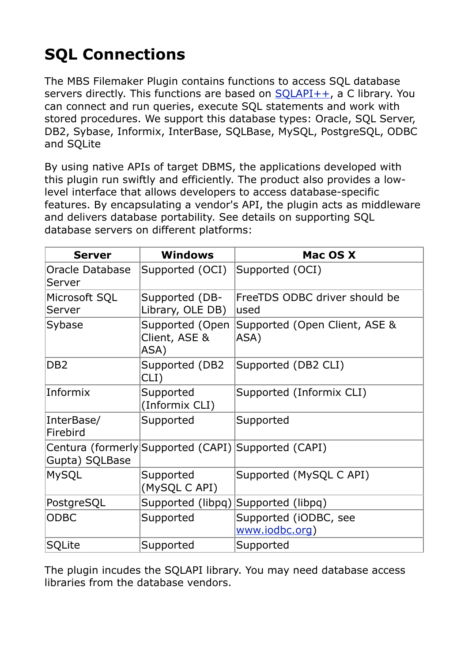## **SQL Connections**

The MBS Filemaker Plugin contains functions to access SQL database servers directly. This functions are based on  $SOLAPI++$ , a C library. You can connect and run queries, execute SQL statements and work with stored procedures. We support this database types: Oracle, SQL Server, DB2, Sybase, Informix, InterBase, SQLBase, MySQL, PostgreSQL, ODBC and SQLite

By using native APIs of target DBMS, the applications developed with this plugin run swiftly and efficiently. The product also provides a lowlevel interface that allows developers to access database-specific features. By encapsulating a vendor's API, the plugin acts as middleware and delivers database portability. See details on supporting SQL database servers on different platforms:

| <b>Server</b>             | <b>Windows</b>                                      | Mac OS X                                |
|---------------------------|-----------------------------------------------------|-----------------------------------------|
| Oracle Database<br>Server | Supported (OCI)                                     | Supported (OCI)                         |
| Microsoft SQL<br> Server  | Supported (DB-<br>Library, OLE DB)                  | FreeTDS ODBC driver should be<br>used   |
| Sybase                    | Supported (Open<br>Client, ASE &<br>ASA)            | Supported (Open Client, ASE &<br>ASA)   |
| DB <sub>2</sub>           | Supported (DB2)<br>CLI)                             | Supported (DB2 CLI)                     |
| Informix                  | Supported<br>(Informix CLI)                         | Supported (Informix CLI)                |
| InterBase/<br>Firebird    | Supported                                           | Supported                               |
| Gupta) SQLBase            | Centura (formerly Supported (CAPI) Supported (CAPI) |                                         |
| MySQL                     | Supported<br>(MySQL C API)                          | Supported (MySQL C API)                 |
| PostgreSQL                | Supported (libpq)                                   | Supported (libpq)                       |
| <b>ODBC</b>               | Supported                                           | Supported (iODBC, see<br>www.iodbc.org) |
| <b>SQLite</b>             | Supported                                           | Supported                               |

The plugin incudes the SQLAPI library. You may need database access libraries from the database vendors.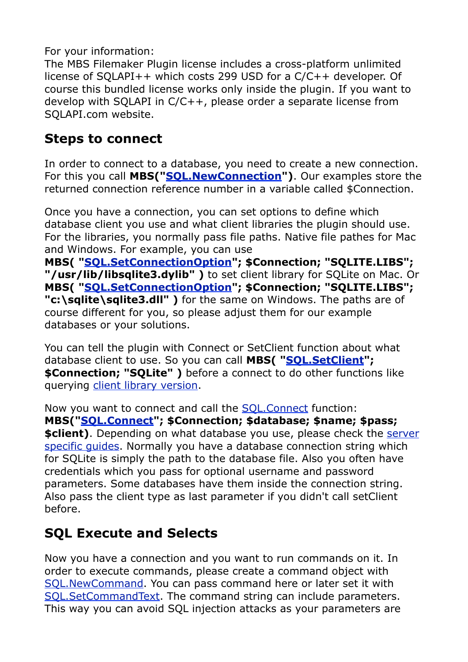For your information:

The MBS Filemaker Plugin license includes a cross-platform unlimited license of SQLAPI++ which costs 299 USD for a C/C++ developer. Of course this bundled license works only inside the plugin. If you want to develop with SQLAPI in C/C++, please order a separate license from SQLAPI.com website.

## **Steps to connect**

In order to connect to a database, you need to create a new connection. For this you call **MBS("[SQL.NewConnection](http://www.mbsplugins.eu/SQLNewConnection.shtml)")**. Our examples store the returned connection reference number in a variable called \$Connection.

Once you have a connection, you can set options to define which database client you use and what client libraries the plugin should use. For the libraries, you normally pass file paths. Native file pathes for Mac and Windows. For example, you can use

**MBS( ["SQL.SetConnectionOption"](http://www.mbsplugins.eu/SQLSetConnectionOption.shtml); \$Connection; "SQLITE.LIBS"; "/usr/lib/libsqlite3.dylib" )** to set client library for SQLite on Mac. Or **MBS( ["SQL.SetConnectionOption"](http://www.mbsplugins.eu/SQLSetConnectionOption.shtml); \$Connection; "SQLITE.LIBS"; "c:\sqlite\sqlite3.dll" )** for the same on Windows. The paths are of course different for you, so please adjust them for our example databases or your solutions.

You can tell the plugin with Connect or SetClient function about what database client to use. So you can call **MBS( "[SQL.SetClient"](http://www.mbsplugins.eu/SQLSetClient.shtml); \$Connection; "SQLite" )** before a connect to do other functions like querying [client library version.](http://www.mbsplugins.eu/SQLClientVersion.shtml)

Now you want to connect and call the [SQL.Connect](http://www.mbsplugins.eu/SQLConnect.shtml) function: **MBS("[SQL.Connect](http://www.mbsplugins.eu/SQLConnect.shtml)"; \$Connection; \$database; \$name; \$pass; \$client)**. Depending on what database you use, please check the server [specific guides.](http://www.sqlapi.com/ServerSpecific/index.html) Normally you have a database connection string which for SQLite is simply the path to the database file. Also you often have credentials which you pass for optional username and password parameters. Some databases have them inside the connection string. Also pass the client type as last parameter if you didn't call setClient before.

## **SQL Execute and Selects**

Now you have a connection and you want to run commands on it. In order to execute commands, please create a command object with [SQL.NewCommand](http://www.mbsplugins.eu/SQLNewCommand.shtml). You can pass command here or later set it with [SQL.SetCommandText](http://www.mbsplugins.eu/SQLSetCommandText.shtml). The command string can include parameters. This way you can avoid SQL injection attacks as your parameters are